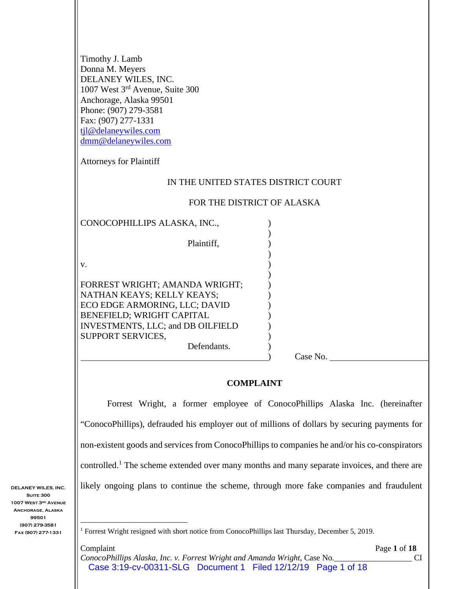| Timothy J. Lamb<br>Donna M. Meyers<br>DELANEY WILES, INC.<br>1007 West 3rd Avenue, Suite 300<br>Anchorage, Alaska 99501<br>Phone: (907) 279-3581<br>Fax: (907) 277-1331<br>tjl@delaneywiles.com<br>dmm@delaneywiles.com<br><b>Attorneys for Plaintiff</b> |                                     |
|-----------------------------------------------------------------------------------------------------------------------------------------------------------------------------------------------------------------------------------------------------------|-------------------------------------|
|                                                                                                                                                                                                                                                           |                                     |
|                                                                                                                                                                                                                                                           | IN THE UNITED STATES DISTRICT COURT |
|                                                                                                                                                                                                                                                           | FOR THE DISTRICT OF ALASKA          |
| CONOCOPHILLIPS ALASKA, INC.,                                                                                                                                                                                                                              |                                     |
| Plaintiff,                                                                                                                                                                                                                                                |                                     |
| V.                                                                                                                                                                                                                                                        |                                     |
| FORREST WRIGHT; AMANDA WRIGHT;                                                                                                                                                                                                                            |                                     |
| NATHAN KEAYS; KELLY KEAYS;                                                                                                                                                                                                                                |                                     |
| ECO EDGE ARMORING, LLC; DAVID                                                                                                                                                                                                                             |                                     |
| BENEFIELD; WRIGHT CAPITAL                                                                                                                                                                                                                                 |                                     |
| INVESTMENTS, LLC; and DB OILFIELD<br>SUPPORT SERVICES,                                                                                                                                                                                                    |                                     |
| Defendants.                                                                                                                                                                                                                                               |                                     |
|                                                                                                                                                                                                                                                           | Case No.                            |

#### **COMPLAINT**

Forrest Wright, a former employee of ConocoPhillips Alaska Inc. (hereinafter "ConocoPhillips), defrauded his employer out of millions of dollars by securing payments for non-existent goods and services from ConocoPhillips to companies he and/or his co-conspirators controlled.<sup>1</sup> The scheme extended over many months and many separate invoices, and there are likely ongoing plans to continue the scheme, through more fake companies and fraudulent

<sup>&</sup>lt;sup>1</sup> Forrest Wright resigned with short notice from ConocoPhillips last Thursday, December 5, 2019.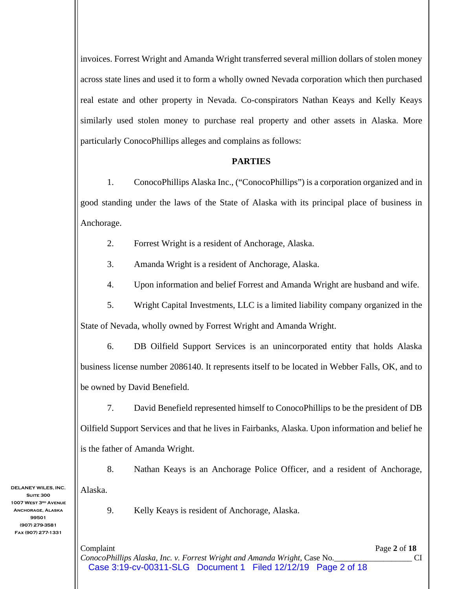invoices. Forrest Wright and Amanda Wright transferred several million dollars of stolen money across state lines and used it to form a wholly owned Nevada corporation which then purchased real estate and other property in Nevada. Co-conspirators Nathan Keays and Kelly Keays similarly used stolen money to purchase real property and other assets in Alaska. More particularly ConocoPhillips alleges and complains as follows:

### **PARTIES**

1. ConocoPhillips Alaska Inc., ("ConocoPhillips") is a corporation organized and in good standing under the laws of the State of Alaska with its principal place of business in Anchorage.

2. Forrest Wright is a resident of Anchorage, Alaska.

3. Amanda Wright is a resident of Anchorage, Alaska.

4. Upon information and belief Forrest and Amanda Wright are husband and wife.

5. Wright Capital Investments, LLC is a limited liability company organized in the State of Nevada, wholly owned by Forrest Wright and Amanda Wright.

6. DB Oilfield Support Services is an unincorporated entity that holds Alaska business license number 2086140. It represents itself to be located in Webber Falls, OK, and to be owned by David Benefield.

7. David Benefield represented himself to ConocoPhillips to be the president of DB Oilfield Support Services and that he lives in Fairbanks, Alaska. Upon information and belief he is the father of Amanda Wright.

8. Nathan Keays is an Anchorage Police Officer, and a resident of Anchorage, Alaska.

9. Kelly Keays is resident of Anchorage, Alaska.

**Suite 300 1007 West 3rd Avenue Anchorage, Alaska 99501 (907) 279-3581 Fax (907) 277-1331** 

**DELANEY WILES, INC.** 

Complaint Page **2** of **18** *ConocoPhillips Alaska, Inc. v. Forrest Wright and Amanda Wright,* Case No.\_\_\_\_\_\_\_\_\_\_\_\_\_\_\_\_\_\_\_ CI Case 3:19-cv-00311-SLG Document 1 Filed 12/12/19 Page 2 of 18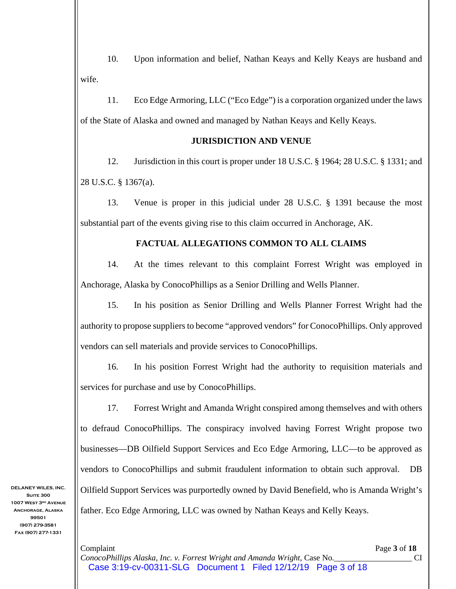10. Upon information and belief, Nathan Keays and Kelly Keays are husband and wife.

11. Eco Edge Armoring, LLC ("Eco Edge") is a corporation organized under the laws of the State of Alaska and owned and managed by Nathan Keays and Kelly Keays.

## **JURISDICTION AND VENUE**

12. Jurisdiction in this court is proper under 18 U.S.C. § 1964; 28 U.S.C. § 1331; and 28 U.S.C. § 1367(a).

13. Venue is proper in this judicial under 28 U.S.C. § 1391 because the most substantial part of the events giving rise to this claim occurred in Anchorage, AK.

# **FACTUAL ALLEGATIONS COMMON TO ALL CLAIMS**

14. At the times relevant to this complaint Forrest Wright was employed in Anchorage, Alaska by ConocoPhillips as a Senior Drilling and Wells Planner.

15. In his position as Senior Drilling and Wells Planner Forrest Wright had the authority to propose suppliers to become "approved vendors" for ConocoPhillips. Only approved vendors can sell materials and provide services to ConocoPhillips.

16. In his position Forrest Wright had the authority to requisition materials and services for purchase and use by ConocoPhillips.

17. Forrest Wright and Amanda Wright conspired among themselves and with others to defraud ConocoPhillips. The conspiracy involved having Forrest Wright propose two businesses—DB Oilfield Support Services and Eco Edge Armoring, LLC—to be approved as vendors to ConocoPhillips and submit fraudulent information to obtain such approval. DB Oilfield Support Services was purportedly owned by David Benefield, who is Amanda Wright's father. Eco Edge Armoring, LLC was owned by Nathan Keays and Kelly Keays.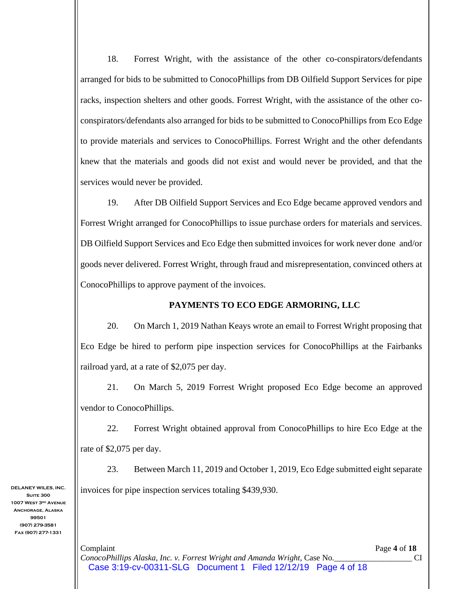18. Forrest Wright, with the assistance of the other co-conspirators/defendants arranged for bids to be submitted to ConocoPhillips from DB Oilfield Support Services for pipe racks, inspection shelters and other goods. Forrest Wright, with the assistance of the other coconspirators/defendants also arranged for bids to be submitted to ConocoPhillips from Eco Edge to provide materials and services to ConocoPhillips. Forrest Wright and the other defendants knew that the materials and goods did not exist and would never be provided, and that the services would never be provided.

19. After DB Oilfield Support Services and Eco Edge became approved vendors and Forrest Wright arranged for ConocoPhillips to issue purchase orders for materials and services. DB Oilfield Support Services and Eco Edge then submitted invoices for work never done and/or goods never delivered. Forrest Wright, through fraud and misrepresentation, convinced others at ConocoPhillips to approve payment of the invoices.

## **PAYMENTS TO ECO EDGE ARMORING, LLC**

20. On March 1, 2019 Nathan Keays wrote an email to Forrest Wright proposing that Eco Edge be hired to perform pipe inspection services for ConocoPhillips at the Fairbanks railroad yard, at a rate of \$2,075 per day.

21. On March 5, 2019 Forrest Wright proposed Eco Edge become an approved vendor to ConocoPhillips.

22. Forrest Wright obtained approval from ConocoPhillips to hire Eco Edge at the rate of \$2,075 per day.

23. Between March 11, 2019 and October 1, 2019, Eco Edge submitted eight separate invoices for pipe inspection services totaling \$439,930.

**DELANEY WILES, INC. Suite 300 1007 West 3rd Avenue Anchorage, Alaska 99501 (907) 279-3581 Fax (907) 277-1331** 

> Complaint Page **4** of **18** *ConocoPhillips Alaska, Inc. v. Forrest Wright and Amanda Wright,* Case No.\_\_\_\_\_\_\_\_\_\_\_\_\_\_\_\_\_\_\_ CI Case 3:19-cv-00311-SLG Document 1 Filed 12/12/19 Page 4 of 18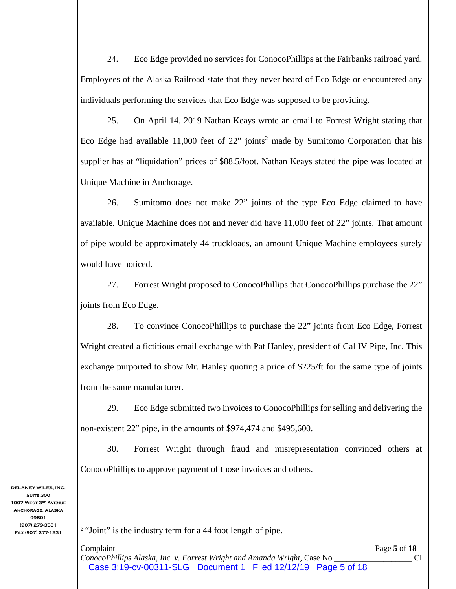24. Eco Edge provided no services for ConocoPhillips at the Fairbanks railroad yard. Employees of the Alaska Railroad state that they never heard of Eco Edge or encountered any individuals performing the services that Eco Edge was supposed to be providing.

25. On April 14, 2019 Nathan Keays wrote an email to Forrest Wright stating that Eco Edge had available  $11,000$  feet of  $22$ " joints<sup>2</sup> made by Sumitomo Corporation that his supplier has at "liquidation" prices of \$88.5/foot. Nathan Keays stated the pipe was located at Unique Machine in Anchorage.

26. Sumitomo does not make 22" joints of the type Eco Edge claimed to have available. Unique Machine does not and never did have 11,000 feet of 22" joints. That amount of pipe would be approximately 44 truckloads, an amount Unique Machine employees surely would have noticed.

27. Forrest Wright proposed to ConocoPhillips that ConocoPhillips purchase the 22" joints from Eco Edge.

28. To convince ConocoPhillips to purchase the 22" joints from Eco Edge, Forrest Wright created a fictitious email exchange with Pat Hanley, president of Cal IV Pipe, Inc. This exchange purported to show Mr. Hanley quoting a price of \$225/ft for the same type of joints from the same manufacturer.

29. Eco Edge submitted two invoices to ConocoPhillips for selling and delivering the non-existent 22" pipe, in the amounts of \$974,474 and \$495,600.

30. Forrest Wright through fraud and misrepresentation convinced others at ConocoPhillips to approve payment of those invoices and others.

<sup>&</sup>lt;sup>2</sup> "Joint" is the industry term for a 44 foot length of pipe.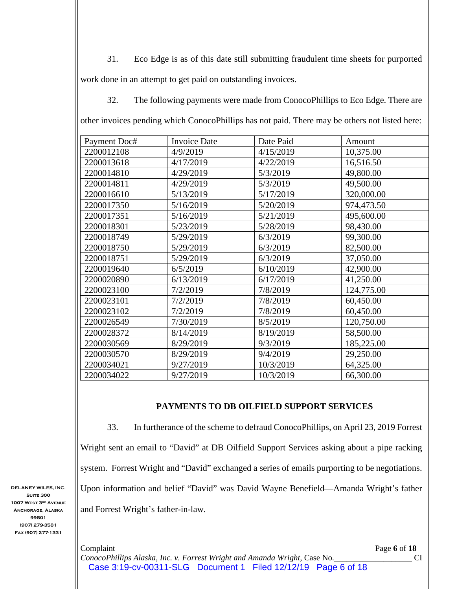31. Eco Edge is as of this date still submitting fraudulent time sheets for purported work done in an attempt to get paid on outstanding invoices.

32. The following payments were made from ConocoPhillips to Eco Edge. There are other invoices pending which ConocoPhillips has not paid. There may be others not listed here:

| Payment Doc# | <b>Invoice Date</b> | Date Paid | Amount     |
|--------------|---------------------|-----------|------------|
| 2200012108   | 4/9/2019            | 4/15/2019 | 10,375.00  |
| 2200013618   | 4/17/2019           | 4/22/2019 | 16,516.50  |
| 2200014810   | 4/29/2019           | 5/3/2019  | 49,800.00  |
| 2200014811   | 4/29/2019           | 5/3/2019  | 49,500.00  |
| 2200016610   | 5/13/2019           | 5/17/2019 | 320,000.00 |
| 2200017350   | 5/16/2019           | 5/20/2019 | 974,473.50 |
| 2200017351   | 5/16/2019           | 5/21/2019 | 495,600.00 |
| 2200018301   | 5/23/2019           | 5/28/2019 | 98,430.00  |
| 2200018749   | 5/29/2019           | 6/3/2019  | 99,300.00  |
| 2200018750   | 5/29/2019           | 6/3/2019  | 82,500.00  |
| 2200018751   | 5/29/2019           | 6/3/2019  | 37,050.00  |
| 2200019640   | 6/5/2019            | 6/10/2019 | 42,900.00  |
| 2200020890   | 6/13/2019           | 6/17/2019 | 41,250.00  |
| 2200023100   | 7/2/2019            | 7/8/2019  | 124,775.00 |
| 2200023101   | 7/2/2019            | 7/8/2019  | 60,450.00  |
| 2200023102   | 7/2/2019            | 7/8/2019  | 60,450.00  |
| 2200026549   | 7/30/2019           | 8/5/2019  | 120,750.00 |
| 2200028372   | 8/14/2019           | 8/19/2019 | 58,500.00  |
| 2200030569   | 8/29/2019           | 9/3/2019  | 185,225.00 |
| 2200030570   | 8/29/2019           | 9/4/2019  | 29,250.00  |
| 2200034021   | 9/27/2019           | 10/3/2019 | 64,325.00  |
| 2200034022   | 9/27/2019           | 10/3/2019 | 66,300.00  |

## **PAYMENTS TO DB OILFIELD SUPPORT SERVICES**

33. In furtherance of the scheme to defraud ConocoPhillips, on April 23, 2019 Forrest Wright sent an email to "David" at DB Oilfield Support Services asking about a pipe racking system. Forrest Wright and "David" exchanged a series of emails purporting to be negotiations. Upon information and belief "David" was David Wayne Benefield—Amanda Wright's father and Forrest Wright's father-in-law.

**DELANEY WILES, INC. Suite 300 1007 West 3rd Avenue Anchorage, Alaska 99501 (907) 279-3581 Fax (907) 277-1331** 

> Complaint Page **6** of **18** *ConocoPhillips Alaska, Inc. v. Forrest Wright and Amanda Wright,* Case No.\_\_\_\_\_\_\_\_\_\_\_\_\_\_\_\_\_\_\_ CI Case 3:19-cv-00311-SLG Document 1 Filed 12/12/19 Page 6 of 18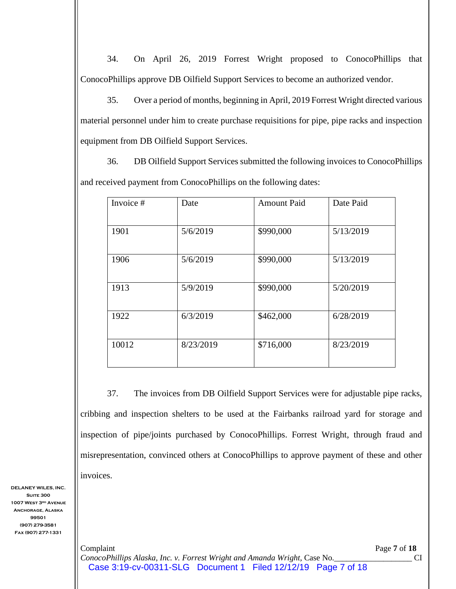34. On April 26, 2019 Forrest Wright proposed to ConocoPhillips that ConocoPhillips approve DB Oilfield Support Services to become an authorized vendor.

35. Over a period of months, beginning in April, 2019 Forrest Wright directed various material personnel under him to create purchase requisitions for pipe, pipe racks and inspection equipment from DB Oilfield Support Services.

36. DB Oilfield Support Services submitted the following invoices to ConocoPhillips and received payment from ConocoPhillips on the following dates:

| Invoice # | Date      | <b>Amount Paid</b> | Date Paid |
|-----------|-----------|--------------------|-----------|
| 1901      | 5/6/2019  | \$990,000          | 5/13/2019 |
| 1906      | 5/6/2019  | \$990,000          | 5/13/2019 |
| 1913      | 5/9/2019  | \$990,000          | 5/20/2019 |
| 1922      | 6/3/2019  | \$462,000          | 6/28/2019 |
| 10012     | 8/23/2019 | \$716,000          | 8/23/2019 |

37. The invoices from DB Oilfield Support Services were for adjustable pipe racks, cribbing and inspection shelters to be used at the Fairbanks railroad yard for storage and inspection of pipe/joints purchased by ConocoPhillips. Forrest Wright, through fraud and misrepresentation, convinced others at ConocoPhillips to approve payment of these and other invoices.

**DELANEY WILES, INC. Suite 300 1007 West 3rd Avenue Anchorage, Alaska 99501 (907) 279-3581 Fax (907) 277-1331** 

> Complaint Page **7** of **18** *ConocoPhillips Alaska, Inc. v. Forrest Wright and Amanda Wright,* Case No.\_\_\_\_\_\_\_\_\_\_\_\_\_\_\_\_\_\_\_ CI Case 3:19-cv-00311-SLG Document 1 Filed 12/12/19 Page 7 of 18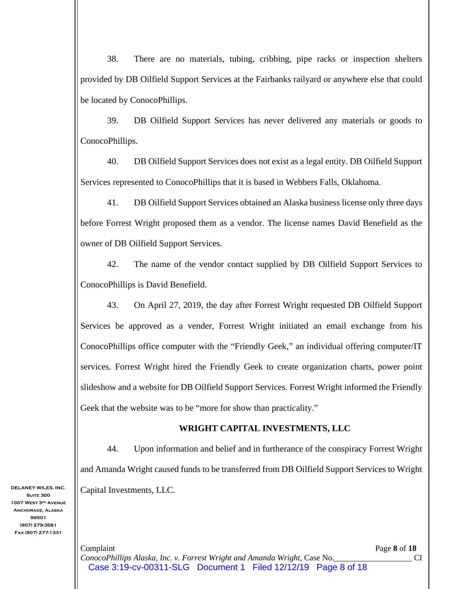38. There are no materials, tubing, cribbing, pipe racks or inspection shelters provided by DB Oilfield Support Services at the Fairbanks railyard or anywhere else that could be located by ConocoPhillips.

39. DB Oilfield Support Services has never delivered any materials or goods to ConocoPhillips.

40. DB Oilfield Support Services does not exist as a legal entity. DB Oilfield Support Services represented to ConocoPhillips that it is based in Webbers Falls, Oklahoma.

41. DB Oilfield Support Services obtained an Alaska business license only three days before Forrest Wright proposed them as a vendor. The license names David Benefield as the owner of DB Oilfield Support Services.

42. The name of the vendor contact supplied by DB Oilfield Support Services to ConocoPhillips is David Benefield.

43. On April 27, 2019, the day after Forrest Wright requested DB Oilfield Support Services be approved as a vender, Forrest Wright initiated an email exchange from his ConocoPhillips office computer with the "Friendly Geek," an individual offering computer/IT services. Forrest Wright hired the Friendly Geek to create organization charts, power point slideshow and a website for DB Oilfield Support Services. Forrest Wright informed the Friendly Geek that the website was to be "more for show than practicality."

## **WRIGHT CAPITAL INVESTMENTS, LLC**

44. Upon information and belief and in furtherance of the conspiracy Forrest Wright and Amanda Wright caused funds to be transferred from DB Oilfield Support Services to Wright Capital Investments, LLC.

Complaint Page **8** of **18** *ConocoPhillips Alaska, Inc. v. Forrest Wright and Amanda Wright,* Case No.\_\_\_\_\_\_\_\_\_\_\_\_\_\_\_\_\_\_\_ CI Case 3:19-cv-00311-SLG Document 1 Filed 12/12/19 Page 8 of 18

**Suite 300 1007 West 3rd Avenue Anchorage, Alaska 99501 (907) 279-3581 Fax (907) 277-1331** 

**DELANEY WILES, INC.**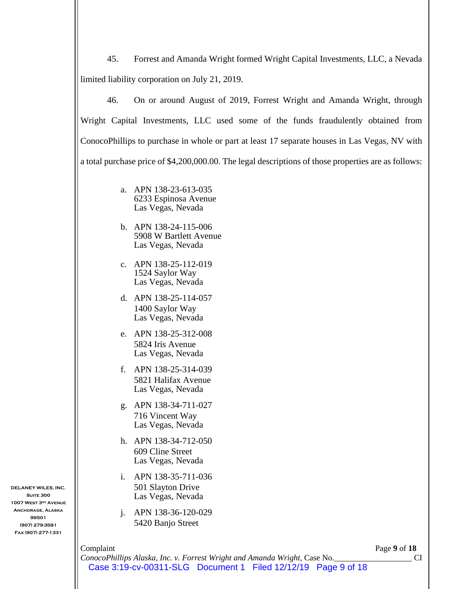45. Forrest and Amanda Wright formed Wright Capital Investments, LLC, a Nevada limited liability corporation on July 21, 2019.

46. On or around August of 2019, Forrest Wright and Amanda Wright, through Wright Capital Investments, LLC used some of the funds fraudulently obtained from ConocoPhillips to purchase in whole or part at least 17 separate houses in Las Vegas, NV with a total purchase price of \$4,200,000.00. The legal descriptions of those properties are as follows:

- a. APN 138-23-613-035 6233 Espinosa Avenue Las Vegas, Nevada
- b. APN 138-24-115-006 5908 W Bartlett Avenue Las Vegas, Nevada
- c. APN 138-25-112-019 1524 Saylor Way Las Vegas, Nevada
- d. APN 138-25-114-057 1400 Saylor Way Las Vegas, Nevada
- e. APN 138-25-312-008 5824 Iris Avenue Las Vegas, Nevada
- f. APN 138-25-314-039 5821 Halifax Avenue Las Vegas, Nevada
- g. APN 138-34-711-027 716 Vincent Way Las Vegas, Nevada
- h. APN 138-34-712-050 609 Cline Street Las Vegas, Nevada
- i. APN 138-35-711-036 501 Slayton Drive Las Vegas, Nevada
- j. APN 138-36-120-029 5420 Banjo Street

Complaint Page **9** of **18**

**Suite 300 1007 West 3rd Avenue Anchorage, Alaska 99501 (907) 279-3581 Fax (907) 277-1331** 

**DELANEY WILES, INC.** 

*ConocoPhillips Alaska, Inc. v. Forrest Wright and Amanda Wright,* Case No.\_\_\_\_\_\_\_\_\_\_\_\_\_\_\_\_\_\_\_ CI Case 3:19-cv-00311-SLG Document 1 Filed 12/12/19 Page 9 of 18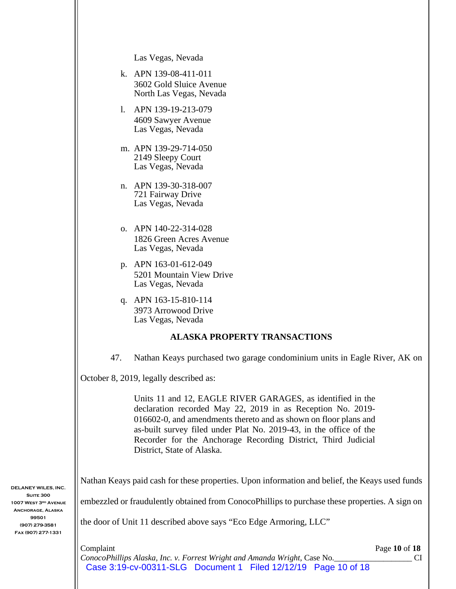Las Vegas, Nevada

- k. APN 139-08-411-011 3602 Gold Sluice Avenue North Las Vegas, Nevada
- l. APN 139-19-213-079 4609 Sawyer Avenue Las Vegas, Nevada
- m. APN 139-29-714-050 2149 Sleepy Court Las Vegas, Nevada
- n. APN 139-30-318-007 721 Fairway Drive Las Vegas, Nevada
- o. APN 140-22-314-028 1826 Green Acres Avenue Las Vegas, Nevada
- p. APN 163-01-612-049 5201 Mountain View Drive Las Vegas, Nevada
- q. APN 163-15-810-114 3973 Arrowood Drive Las Vegas, Nevada

#### **ALASKA PROPERTY TRANSACTIONS**

47. Nathan Keays purchased two garage condominium units in Eagle River, AK on

October 8, 2019, legally described as:

Units 11 and 12, EAGLE RIVER GARAGES, as identified in the declaration recorded May 22, 2019 in as Reception No. 2019- 016602-0, and amendments thereto and as shown on floor plans and as-built survey filed under Plat No. 2019-43, in the office of the Recorder for the Anchorage Recording District, Third Judicial District, State of Alaska.

Nathan Keays paid cash for these properties. Upon information and belief, the Keays used funds

embezzled or fraudulently obtained from ConocoPhillips to purchase these properties. A sign on

the door of Unit 11 described above says "Eco Edge Armoring, LLC"

**Complaint** Page **10** of **18** *ConocoPhillips Alaska, Inc. v. Forrest Wright and Amanda Wright,* Case No.\_\_\_\_\_\_\_\_\_\_\_\_\_\_\_\_\_\_\_ CI Case 3:19-cv-00311-SLG Document 1 Filed 12/12/19 Page 10 of 18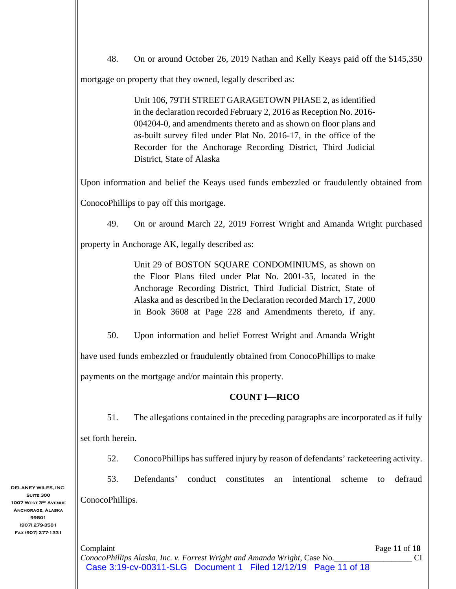| 48.               | On or around October 26, 2019 Nathan and Kelly Keays paid off the \$145,350                                                                                                                                                                                                                                                                                            |
|-------------------|------------------------------------------------------------------------------------------------------------------------------------------------------------------------------------------------------------------------------------------------------------------------------------------------------------------------------------------------------------------------|
|                   | mortgage on property that they owned, legally described as:                                                                                                                                                                                                                                                                                                            |
|                   | Unit 106, 79TH STREET GARAGETOWN PHASE 2, as identified<br>in the declaration recorded February 2, 2016 as Reception No. 2016-<br>004204-0, and amendments thereto and as shown on floor plans and<br>as-built survey filed under Plat No. 2016-17, in the office of the<br>Recorder for the Anchorage Recording District, Third Judicial<br>District, State of Alaska |
|                   | Upon information and belief the Keays used funds embezzled or fraudulently obtained from                                                                                                                                                                                                                                                                               |
|                   | ConocoPhillips to pay off this mortgage.                                                                                                                                                                                                                                                                                                                               |
| 49.               | On or around March 22, 2019 Forrest Wright and Amanda Wright purchased                                                                                                                                                                                                                                                                                                 |
|                   | property in Anchorage AK, legally described as:                                                                                                                                                                                                                                                                                                                        |
|                   | Unit 29 of BOSTON SQUARE CONDOMINIUMS, as shown on<br>the Floor Plans filed under Plat No. 2001-35, located in the<br>Anchorage Recording District, Third Judicial District, State of<br>Alaska and as described in the Declaration recorded March 17, 2000<br>in Book 3608 at Page 228 and Amendments thereto, if any.                                                |
| 50.               | Upon information and belief Forrest Wright and Amanda Wright                                                                                                                                                                                                                                                                                                           |
|                   | have used funds embezzled or fraudulently obtained from ConocoPhillips to make                                                                                                                                                                                                                                                                                         |
|                   | payments on the mortgage and/or maintain this property.                                                                                                                                                                                                                                                                                                                |
|                   | <b>COUNT I-RICO</b>                                                                                                                                                                                                                                                                                                                                                    |
| 51.               | The allegations contained in the preceding paragraphs are incorporated as if fully                                                                                                                                                                                                                                                                                     |
| set forth herein. |                                                                                                                                                                                                                                                                                                                                                                        |
| 52.               | ConocoPhillips has suffered injury by reason of defendants' racketeering activity.                                                                                                                                                                                                                                                                                     |
| 53.               | Defendants'<br>conduct<br>constitutes<br>defraud<br>intentional<br>scheme<br>an<br>to                                                                                                                                                                                                                                                                                  |
| ConocoPhillips.   |                                                                                                                                                                                                                                                                                                                                                                        |
|                   |                                                                                                                                                                                                                                                                                                                                                                        |
| Complaint         | Page 11 of 18                                                                                                                                                                                                                                                                                                                                                          |

Case 3:19-cv-00311-SLG Document 1 Filed 12/12/19 Page 11 of 18

**DELANEY WILES, IN Suite 300 1007 WEST 3RD AVEN ANCHORAGE, ALASK 99501 (907) 279-3581 Fax (907) 277-1331**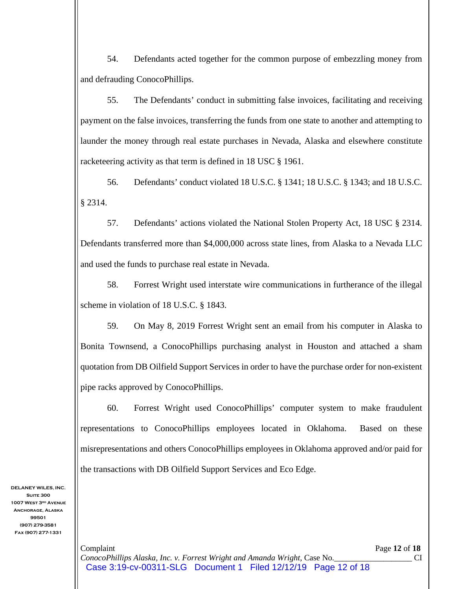54. Defendants acted together for the common purpose of embezzling money from and defrauding ConocoPhillips.

55. The Defendants' conduct in submitting false invoices, facilitating and receiving payment on the false invoices, transferring the funds from one state to another and attempting to launder the money through real estate purchases in Nevada, Alaska and elsewhere constitute racketeering activity as that term is defined in 18 USC § 1961.

56. Defendants' conduct violated 18 U.S.C. § 1341; 18 U.S.C. § 1343; and 18 U.S.C. § 2314.

57. Defendants' actions violated the National Stolen Property Act, 18 USC § 2314. Defendants transferred more than \$4,000,000 across state lines, from Alaska to a Nevada LLC and used the funds to purchase real estate in Nevada.

58. Forrest Wright used interstate wire communications in furtherance of the illegal scheme in violation of 18 U.S.C. § 1843.

59. On May 8, 2019 Forrest Wright sent an email from his computer in Alaska to Bonita Townsend, a ConocoPhillips purchasing analyst in Houston and attached a sham quotation from DB Oilfield Support Services in order to have the purchase order for non-existent pipe racks approved by ConocoPhillips.

60. Forrest Wright used ConocoPhillips' computer system to make fraudulent representations to ConocoPhillips employees located in Oklahoma. Based on these misrepresentations and others ConocoPhillips employees in Oklahoma approved and/or paid for the transactions with DB Oilfield Support Services and Eco Edge.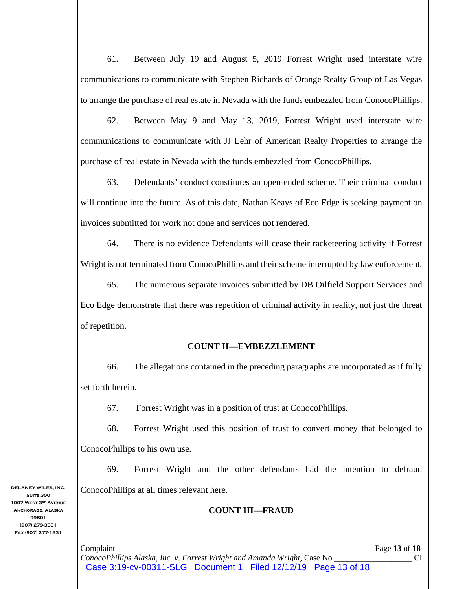61. Between July 19 and August 5, 2019 Forrest Wright used interstate wire communications to communicate with Stephen Richards of Orange Realty Group of Las Vegas to arrange the purchase of real estate in Nevada with the funds embezzled from ConocoPhillips.

62. Between May 9 and May 13, 2019, Forrest Wright used interstate wire communications to communicate with JJ Lehr of American Realty Properties to arrange the purchase of real estate in Nevada with the funds embezzled from ConocoPhillips.

63. Defendants' conduct constitutes an open-ended scheme. Their criminal conduct will continue into the future. As of this date, Nathan Keays of Eco Edge is seeking payment on invoices submitted for work not done and services not rendered.

64. There is no evidence Defendants will cease their racketeering activity if Forrest Wright is not terminated from ConocoPhillips and their scheme interrupted by law enforcement.

65. The numerous separate invoices submitted by DB Oilfield Support Services and Eco Edge demonstrate that there was repetition of criminal activity in reality, not just the threat of repetition.

## **COUNT II—EMBEZZLEMENT**

66. The allegations contained in the preceding paragraphs are incorporated as if fully set forth herein.

67. Forrest Wright was in a position of trust at ConocoPhillips.

68. Forrest Wright used this position of trust to convert money that belonged to ConocoPhillips to his own use.

69. Forrest Wright and the other defendants had the intention to defraud ConocoPhillips at all times relevant here.

## **COUNT III—FRAUD**

**Complaint** Page 13 of 18 *ConocoPhillips Alaska, Inc. v. Forrest Wright and Amanda Wright,* Case No.\_\_\_\_\_\_\_\_\_\_\_\_\_\_\_\_\_\_\_ CI Case 3:19-cv-00311-SLG Document 1 Filed 12/12/19 Page 13 of 18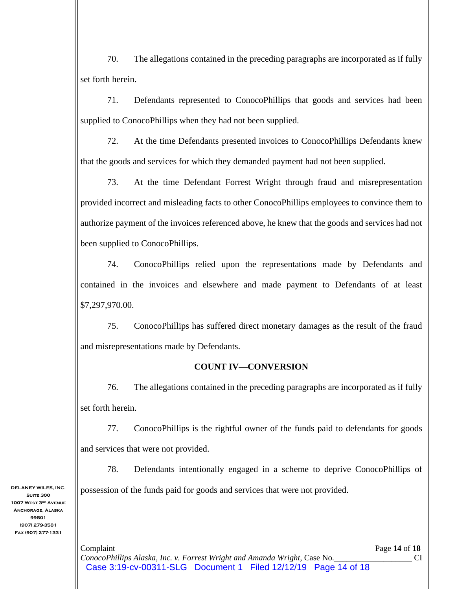70. The allegations contained in the preceding paragraphs are incorporated as if fully set forth herein.

71. Defendants represented to ConocoPhillips that goods and services had been supplied to ConocoPhillips when they had not been supplied.

72. At the time Defendants presented invoices to ConocoPhillips Defendants knew that the goods and services for which they demanded payment had not been supplied.

73. At the time Defendant Forrest Wright through fraud and misrepresentation provided incorrect and misleading facts to other ConocoPhillips employees to convince them to authorize payment of the invoices referenced above, he knew that the goods and services had not been supplied to ConocoPhillips.

74. ConocoPhillips relied upon the representations made by Defendants and contained in the invoices and elsewhere and made payment to Defendants of at least \$7,297,970.00.

75. ConocoPhillips has suffered direct monetary damages as the result of the fraud and misrepresentations made by Defendants.

### **COUNT IV—CONVERSION**

76. The allegations contained in the preceding paragraphs are incorporated as if fully set forth herein.

77. ConocoPhillips is the rightful owner of the funds paid to defendants for goods and services that were not provided.

78. Defendants intentionally engaged in a scheme to deprive ConocoPhillips of possession of the funds paid for goods and services that were not provided.

**Complaint** Page 14 of 18 *ConocoPhillips Alaska, Inc. v. Forrest Wright and Amanda Wright,* Case No.\_\_\_\_\_\_\_\_\_\_\_\_\_\_\_\_\_\_\_ CI Case 3:19-cv-00311-SLG Document 1 Filed 12/12/19 Page 14 of 18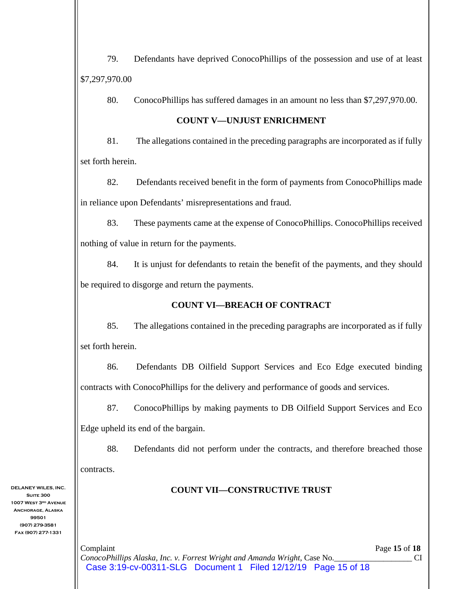79. Defendants have deprived ConocoPhillips of the possession and use of at least \$7,297,970.00

80. ConocoPhillips has suffered damages in an amount no less than \$7,297,970.00.

## **COUNT V—UNJUST ENRICHMENT**

81. The allegations contained in the preceding paragraphs are incorporated as if fully set forth herein.

82. Defendants received benefit in the form of payments from ConocoPhillips made in reliance upon Defendants' misrepresentations and fraud.

83. These payments came at the expense of ConocoPhillips. ConocoPhillips received nothing of value in return for the payments.

84. It is unjust for defendants to retain the benefit of the payments, and they should be required to disgorge and return the payments.

# **COUNT VI—BREACH OF CONTRACT**

85. The allegations contained in the preceding paragraphs are incorporated as if fully set forth herein.

86. Defendants DB Oilfield Support Services and Eco Edge executed binding contracts with ConocoPhillips for the delivery and performance of goods and services.

87. ConocoPhillips by making payments to DB Oilfield Support Services and Eco Edge upheld its end of the bargain.

88. Defendants did not perform under the contracts, and therefore breached those contracts.

# **COUNT VII—CONSTRUCTIVE TRUST**

**DELANEY WILES, INC. Suite 300 1007 West 3rd Avenue Anchorage, Alaska 99501 (907) 279-3581 Fax (907) 277-1331** 

> **Complaint** Page 15 of 18 *ConocoPhillips Alaska, Inc. v. Forrest Wright and Amanda Wright,* Case No.\_\_\_\_\_\_\_\_\_\_\_\_\_\_\_\_\_\_\_ CI Case 3:19-cv-00311-SLG Document 1 Filed 12/12/19 Page 15 of 18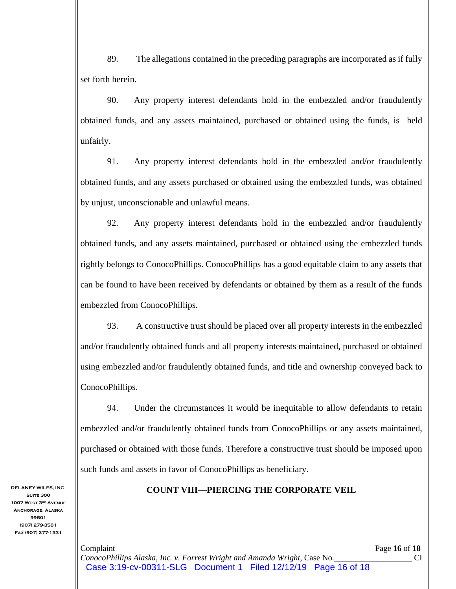89. The allegations contained in the preceding paragraphs are incorporated as if fully set forth herein.

90. Any property interest defendants hold in the embezzled and/or fraudulently obtained funds, and any assets maintained, purchased or obtained using the funds, is held unfairly.

91. Any property interest defendants hold in the embezzled and/or fraudulently obtained funds, and any assets purchased or obtained using the embezzled funds, was obtained by unjust, unconscionable and unlawful means.

92. Any property interest defendants hold in the embezzled and/or fraudulently obtained funds, and any assets maintained, purchased or obtained using the embezzled funds rightly belongs to ConocoPhillips. ConocoPhillips has a good equitable claim to any assets that can be found to have been received by defendants or obtained by them as a result of the funds embezzled from ConocoPhillips.

93. A constructive trust should be placed over all property interests in the embezzled and/or fraudulently obtained funds and all property interests maintained, purchased or obtained using embezzled and/or fraudulently obtained funds, and title and ownership conveyed back to ConocoPhillips.

94. Under the circumstances it would be inequitable to allow defendants to retain embezzled and/or fraudulently obtained funds from ConocoPhillips or any assets maintained, purchased or obtained with those funds. Therefore a constructive trust should be imposed upon such funds and assets in favor of ConocoPhillips as beneficiary.

**COUNT VIII—PIERCING THE CORPORATE VEIL** 

**Suite 300 1007 West 3rd Avenue Anchorage, Alaska 99501 (907) 279-3581 Fax (907) 277-1331** 

**DELANEY WILES, INC.**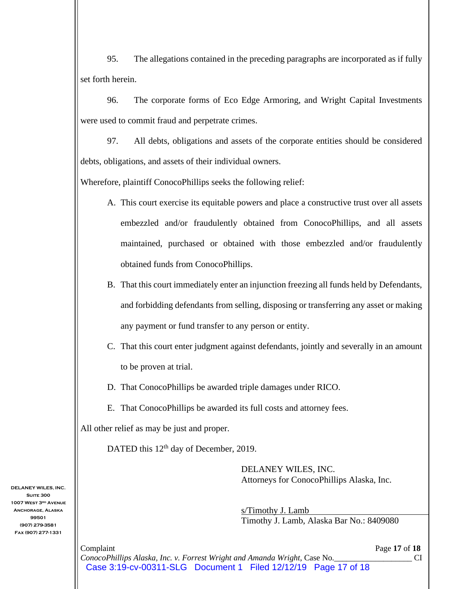95. The allegations contained in the preceding paragraphs are incorporated as if fully set forth herein.

96. The corporate forms of Eco Edge Armoring, and Wright Capital Investments were used to commit fraud and perpetrate crimes.

97. All debts, obligations and assets of the corporate entities should be considered debts, obligations, and assets of their individual owners.

Wherefore, plaintiff ConocoPhillips seeks the following relief:

- A. This court exercise its equitable powers and place a constructive trust over all assets embezzled and/or fraudulently obtained from ConocoPhillips, and all assets maintained, purchased or obtained with those embezzled and/or fraudulently obtained funds from ConocoPhillips.
- B. That this court immediately enter an injunction freezing all funds held by Defendants, and forbidding defendants from selling, disposing or transferring any asset or making any payment or fund transfer to any person or entity.
- C. That this court enter judgment against defendants, jointly and severally in an amount to be proven at trial.
- D. That ConocoPhillips be awarded triple damages under RICO.
- E. That ConocoPhillips be awarded its full costs and attorney fees.

All other relief as may be just and proper.

DATED this 12<sup>th</sup> day of December, 2019.

DELANEY WILES, INC. Attorneys for ConocoPhillips Alaska, Inc.

s/Timothy J. Lamb Timothy J. Lamb, Alaska Bar No.: 8409080

**Complaint** Page 17 of 18 *ConocoPhillips Alaska, Inc. v. Forrest Wright and Amanda Wright,* Case No.\_\_\_\_\_\_\_\_\_\_\_\_\_\_\_\_\_\_\_ CI Case 3:19-cv-00311-SLG Document 1 Filed 12/12/19 Page 17 of 18